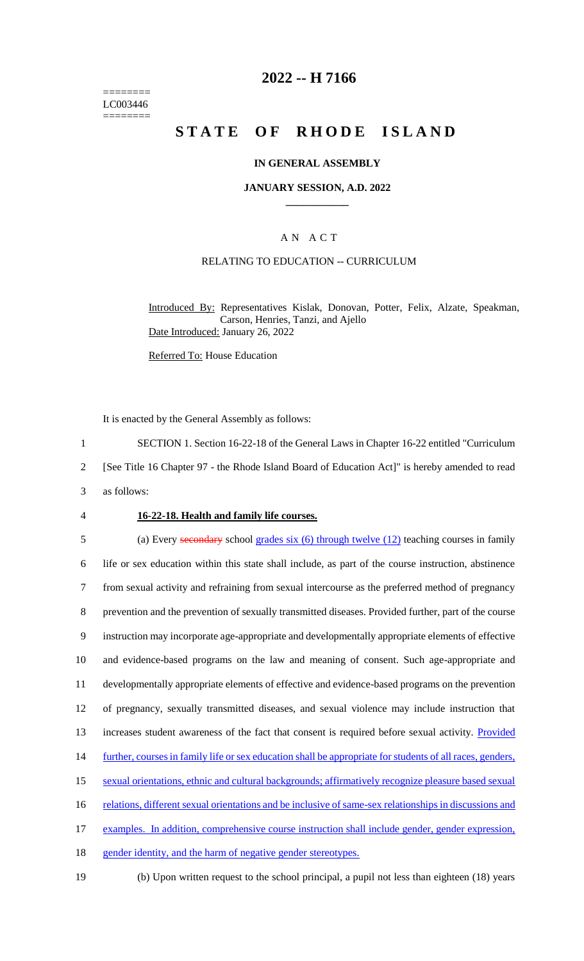======== LC003446 ========

### **2022 -- H 7166**

# **STATE OF RHODE ISLAND**

#### **IN GENERAL ASSEMBLY**

### **JANUARY SESSION, A.D. 2022 \_\_\_\_\_\_\_\_\_\_\_\_**

### A N A C T

#### RELATING TO EDUCATION -- CURRICULUM

Introduced By: Representatives Kislak, Donovan, Potter, Felix, Alzate, Speakman, Carson, Henries, Tanzi, and Ajello Date Introduced: January 26, 2022

Referred To: House Education

It is enacted by the General Assembly as follows:

1 SECTION 1. Section 16-22-18 of the General Laws in Chapter 16-22 entitled "Curriculum

2 [See Title 16 Chapter 97 - the Rhode Island Board of Education Act]" is hereby amended to read

3 as follows:

#### 4 **16-22-18. Health and family life courses.**

5 (a) Every secondary school grades six (6) through twelve (12) teaching courses in family 6 life or sex education within this state shall include, as part of the course instruction, abstinence 7 from sexual activity and refraining from sexual intercourse as the preferred method of pregnancy 8 prevention and the prevention of sexually transmitted diseases. Provided further, part of the course 9 instruction may incorporate age-appropriate and developmentally appropriate elements of effective 10 and evidence-based programs on the law and meaning of consent. Such age-appropriate and 11 developmentally appropriate elements of effective and evidence-based programs on the prevention 12 of pregnancy, sexually transmitted diseases, and sexual violence may include instruction that 13 increases student awareness of the fact that consent is required before sexual activity. Provided 14 further, courses in family life or sex education shall be appropriate for students of all races, genders, 15 sexual orientations, ethnic and cultural backgrounds; affirmatively recognize pleasure based sexual 16 relations, different sexual orientations and be inclusive of same-sex relationships in discussions and 17 examples. In addition, comprehensive course instruction shall include gender, gender expression, 18 gender identity, and the harm of negative gender stereotypes.

19 (b) Upon written request to the school principal, a pupil not less than eighteen (18) years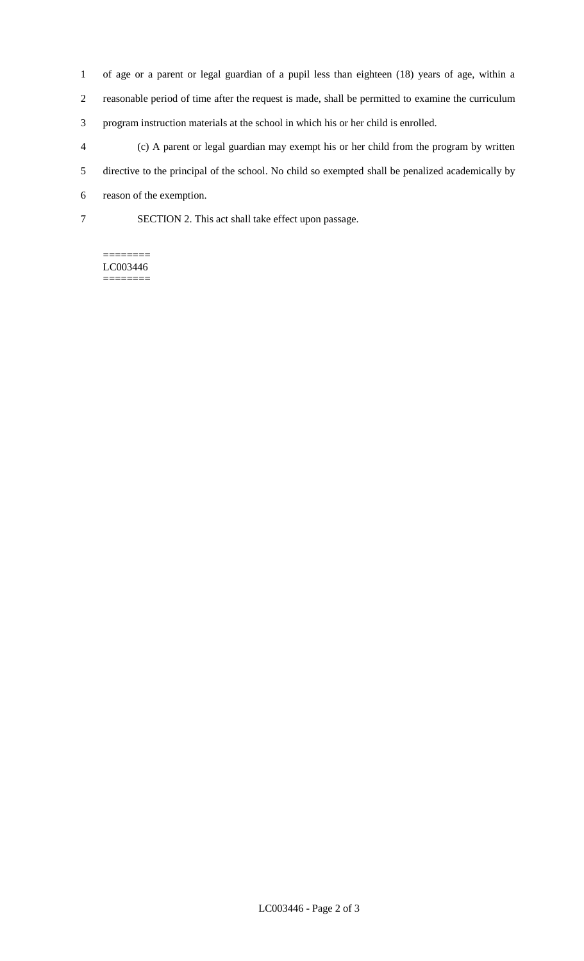of age or a parent or legal guardian of a pupil less than eighteen (18) years of age, within a reasonable period of time after the request is made, shall be permitted to examine the curriculum program instruction materials at the school in which his or her child is enrolled.

 (c) A parent or legal guardian may exempt his or her child from the program by written directive to the principal of the school. No child so exempted shall be penalized academically by

reason of the exemption.

SECTION 2. This act shall take effect upon passage.

======== LC003446 ========